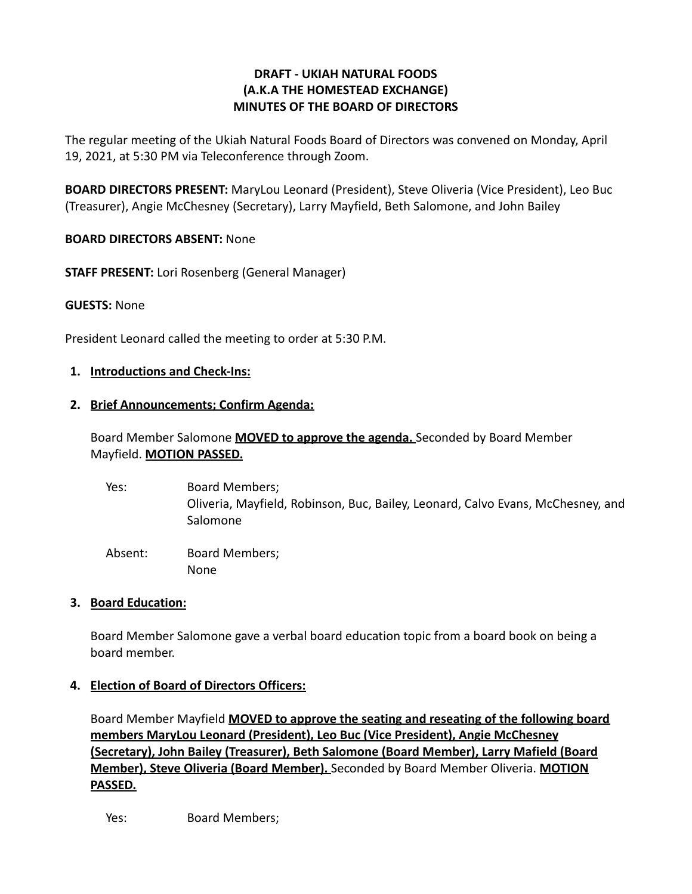## **DRAFT - UKIAH NATURAL FOODS (A.K.A THE HOMESTEAD EXCHANGE) MINUTES OF THE BOARD OF DIRECTORS**

The regular meeting of the Ukiah Natural Foods Board of Directors was convened on Monday, April 19, 2021, at 5:30 PM via Teleconference through Zoom.

**BOARD DIRECTORS PRESENT:** MaryLou Leonard (President), Steve Oliveria (Vice President), Leo Buc (Treasurer), Angie McChesney (Secretary), Larry Mayfield, Beth Salomone, and John Bailey

## **BOARD DIRECTORS ABSENT:** None

**STAFF PRESENT:** Lori Rosenberg (General Manager)

### **GUESTS:** None

President Leonard called the meeting to order at 5:30 P.M.

### **1. Introductions and Check-Ins:**

### **2. Brief Announcements; Confirm Agenda:**

# Board Member Salomone **MOVED to approve the agenda.** Seconded by Board Member Mayfield. **MOTION PASSED.**

Yes: Board Members; Oliveria, Mayfield, Robinson, Buc, Bailey, Leonard, Calvo Evans, McChesney, and Salomone Absent: Board Members;

#### **3. Board Education:**

Board Member Salomone gave a verbal board education topic from a board book on being a board member.

## **4. Election of Board of Directors Officers:**

None

Board Member Mayfield **MOVED to approve the seating and reseating of the following board members MaryLou Leonard (President), Leo Buc (Vice President), Angie McChesney (Secretary), John Bailey (Treasurer), Beth Salomone (Board Member), Larry Mafield (Board Member), Steve Oliveria (Board Member).** Seconded by Board Member Oliveria. **MOTION PASSED.**

Yes: Board Members;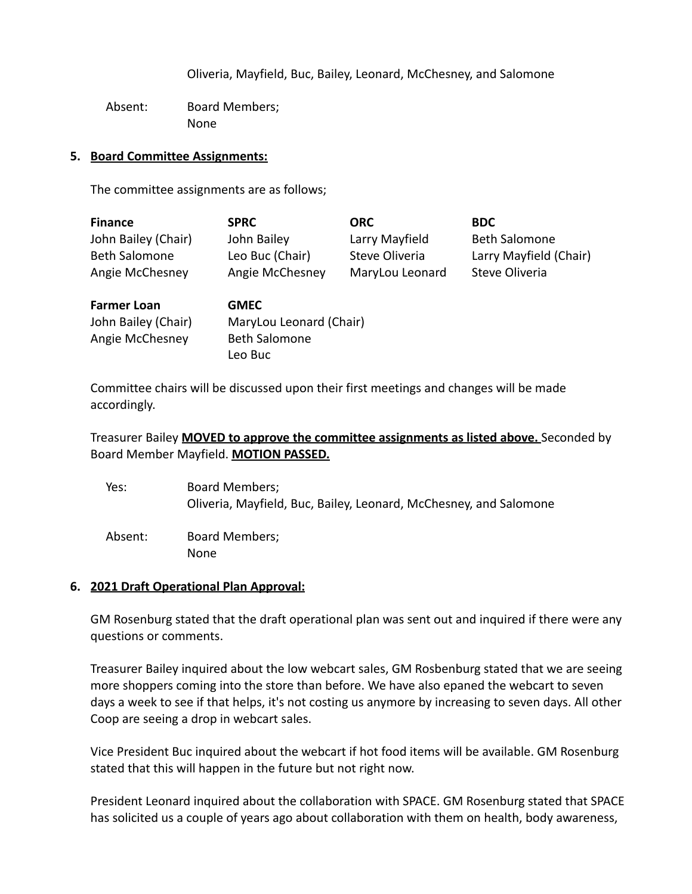Oliveria, Mayfield, Buc, Bailey, Leonard, McChesney, and Salomone

Absent: Board Members; None

#### **5. Board Committee Assignments:**

The committee assignments are as follows;

| <b>Finance</b>       | <b>SPRC</b>     | <b>ORC</b>      | <b>BDC</b>                               |
|----------------------|-----------------|-----------------|------------------------------------------|
| John Bailey (Chair)  | John Bailey     | Larry Mayfield  | <b>Beth Salomone</b>                     |
| <b>Beth Salomone</b> | Leo Buc (Chair) | Steve Oliveria  | Larry Mayfield (Chair)<br>Steve Oliveria |
| Angie McChesney      | Angie McChesney | MaryLou Leonard |                                          |

| <b>Farmer Loan</b>  | <b>GMEC</b>             |
|---------------------|-------------------------|
| John Bailey (Chair) | MaryLou Leonard (Chair) |
| Angie McChesney     | <b>Beth Salomone</b>    |
|                     | Leo Buc                 |

Committee chairs will be discussed upon their first meetings and changes will be made accordingly.

## Treasurer Bailey **MOVED to approve the committee assignments as listed above.** Seconded by Board Member Mayfield. **MOTION PASSED.**

| Yes:    | Board Members;<br>Oliveria, Mayfield, Buc, Bailey, Leonard, McChesney, and Salomone |
|---------|-------------------------------------------------------------------------------------|
| Absent: | Board Members;<br>None                                                              |

#### **6. 2021 Draft Operational Plan Approval:**

GM Rosenburg stated that the draft operational plan was sent out and inquired if there were any questions or comments.

Treasurer Bailey inquired about the low webcart sales, GM Rosbenburg stated that we are seeing more shoppers coming into the store than before. We have also epaned the webcart to seven days a week to see if that helps, it's not costing us anymore by increasing to seven days. All other Coop are seeing a drop in webcart sales.

Vice President Buc inquired about the webcart if hot food items will be available. GM Rosenburg stated that this will happen in the future but not right now.

President Leonard inquired about the collaboration with SPACE. GM Rosenburg stated that SPACE has solicited us a couple of years ago about collaboration with them on health, body awareness,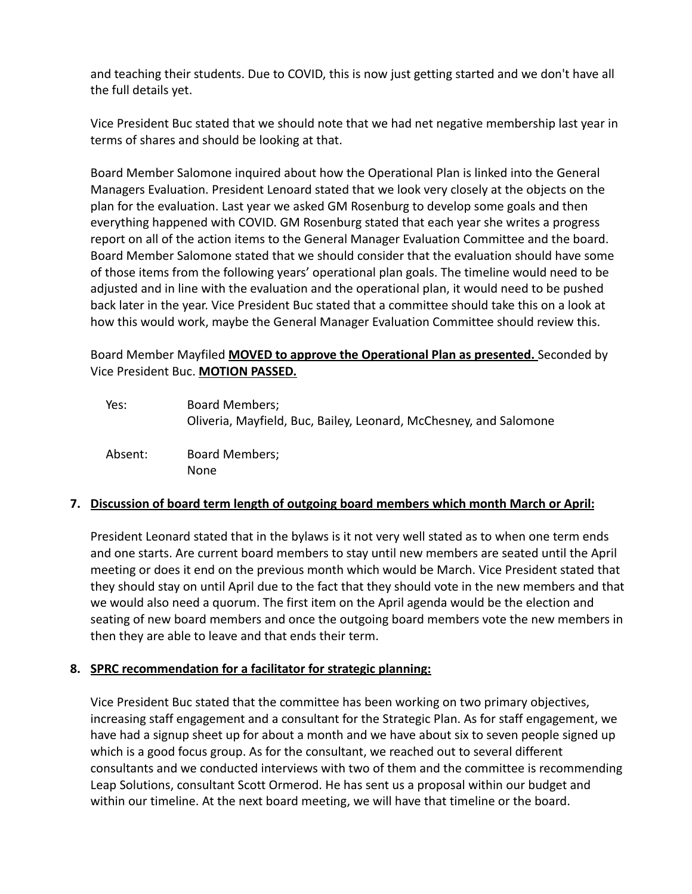and teaching their students. Due to COVID, this is now just getting started and we don't have all the full details yet.

Vice President Buc stated that we should note that we had net negative membership last year in terms of shares and should be looking at that.

Board Member Salomone inquired about how the Operational Plan is linked into the General Managers Evaluation. President Lenoard stated that we look very closely at the objects on the plan for the evaluation. Last year we asked GM Rosenburg to develop some goals and then everything happened with COVID. GM Rosenburg stated that each year she writes a progress report on all of the action items to the General Manager Evaluation Committee and the board. Board Member Salomone stated that we should consider that the evaluation should have some of those items from the following years' operational plan goals. The timeline would need to be adjusted and in line with the evaluation and the operational plan, it would need to be pushed back later in the year. Vice President Buc stated that a committee should take this on a look at how this would work, maybe the General Manager Evaluation Committee should review this.

Board Member Mayfiled **MOVED to approve the Operational Plan as presented.** Seconded by Vice President Buc. **MOTION PASSED.**

| Yes:    | <b>Board Members;</b><br>Oliveria, Mayfield, Buc, Bailey, Leonard, McChesney, and Salomone |
|---------|--------------------------------------------------------------------------------------------|
| Absent: | <b>Board Members;</b><br>None                                                              |

## **7. Discussion of board term length of outgoing board members which month March or April:**

President Leonard stated that in the bylaws is it not very well stated as to when one term ends and one starts. Are current board members to stay until new members are seated until the April meeting or does it end on the previous month which would be March. Vice President stated that they should stay on until April due to the fact that they should vote in the new members and that we would also need a quorum. The first item on the April agenda would be the election and seating of new board members and once the outgoing board members vote the new members in then they are able to leave and that ends their term.

## **8. SPRC recommendation for a facilitator for strategic planning:**

Vice President Buc stated that the committee has been working on two primary objectives, increasing staff engagement and a consultant for the Strategic Plan. As for staff engagement, we have had a signup sheet up for about a month and we have about six to seven people signed up which is a good focus group. As for the consultant, we reached out to several different consultants and we conducted interviews with two of them and the committee is recommending Leap Solutions, consultant Scott Ormerod. He has sent us a proposal within our budget and within our timeline. At the next board meeting, we will have that timeline or the board.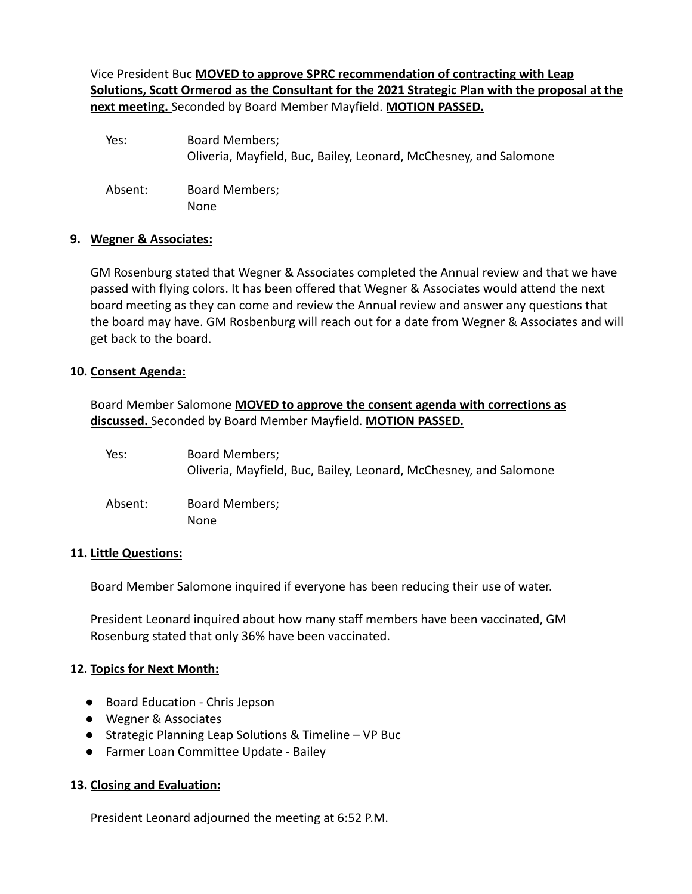Vice President Buc **MOVED to approve SPRC recommendation of contracting with Leap Solutions, Scott Ormerod as the Consultant for the 2021 Strategic Plan with the proposal at the next meeting.** Seconded by Board Member Mayfield. **MOTION PASSED.**

| Yes:    | <b>Board Members;</b><br>Oliveria, Mayfield, Buc, Bailey, Leonard, McChesney, and Salomone |
|---------|--------------------------------------------------------------------------------------------|
| Absent: | Board Members;<br>None                                                                     |

#### **9. Wegner & Associates:**

GM Rosenburg stated that Wegner & Associates completed the Annual review and that we have passed with flying colors. It has been offered that Wegner & Associates would attend the next board meeting as they can come and review the Annual review and answer any questions that the board may have. GM Rosbenburg will reach out for a date from Wegner & Associates and will get back to the board.

#### **10. Consent Agenda:**

Board Member Salomone **MOVED to approve the consent agenda with corrections as discussed.** Seconded by Board Member Mayfield. **MOTION PASSED.**

| Yes:    | Board Members;<br>Oliveria, Mayfield, Buc, Bailey, Leonard, McChesney, and Salomone |
|---------|-------------------------------------------------------------------------------------|
| Absent: | Board Members;<br>None                                                              |

#### **11. Little Questions:**

Board Member Salomone inquired if everyone has been reducing their use of water.

President Leonard inquired about how many staff members have been vaccinated, GM Rosenburg stated that only 36% have been vaccinated.

#### **12. Topics for Next Month:**

- Board Education Chris Jepson
- Wegner & Associates
- Strategic Planning Leap Solutions & Timeline VP Buc
- Farmer Loan Committee Update Bailey

#### **13. Closing and Evaluation:**

President Leonard adjourned the meeting at 6:52 P.M.